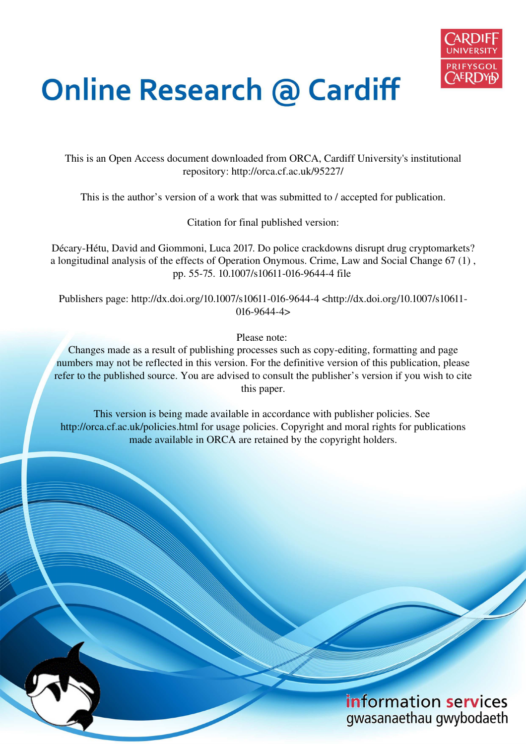

# **Online Research @ Cardiff**

This is an Open Access document downloaded from ORCA, Cardiff University's institutional repository: http://orca.cf.ac.uk/95227/

This is the author's version of a work that was submitted to / accepted for publication.

Citation for final published version:

Décary-Hétu, David and Giommoni, Luca 2017. Do police crackdowns disrupt drug cryptomarkets? a longitudinal analysis of the effects of Operation Onymous. Crime, Law and Social Change 67 (1) , pp. 55-75. 10.1007/s10611-016-9644-4 file

Publishers page: http://dx.doi.org/10.1007/s10611-016-9644-4 <http://dx.doi.org/10.1007/s10611- 016-9644-4>

Please note:

Changes made as a result of publishing processes such as copy-editing, formatting and page numbers may not be reflected in this version. For the definitive version of this publication, please refer to the published source. You are advised to consult the publisher's version if you wish to cite this paper.

This version is being made available in accordance with publisher policies. See http://orca.cf.ac.uk/policies.html for usage policies. Copyright and moral rights for publications made available in ORCA are retained by the copyright holders.

# information services gwasanaethau gwybodaeth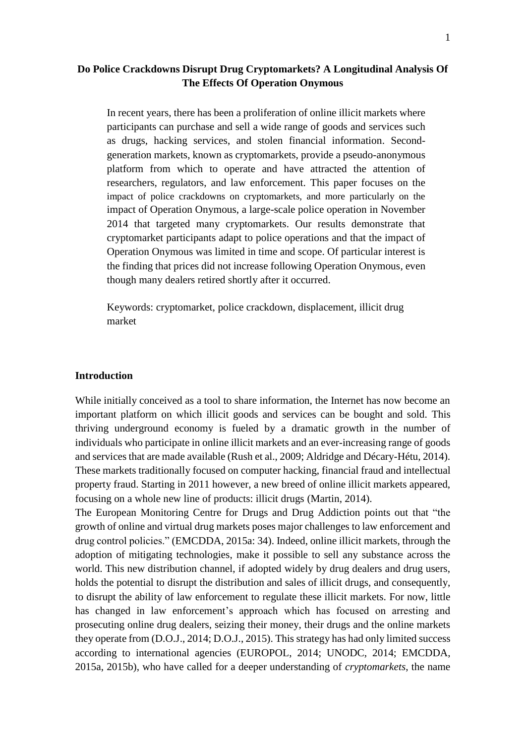# **Do Police Crackdowns Disrupt Drug Cryptomarkets? A Longitudinal Analysis Of The Effects Of Operation Onymous**

In recent years, there has been a proliferation of online illicit markets where participants can purchase and sell a wide range of goods and services such as drugs, hacking services, and stolen financial information. Secondgeneration markets, known as cryptomarkets, provide a pseudo-anonymous platform from which to operate and have attracted the attention of researchers, regulators, and law enforcement. This paper focuses on the impact of police crackdowns on cryptomarkets, and more particularly on the impact of Operation Onymous, a large-scale police operation in November 2014 that targeted many cryptomarkets. Our results demonstrate that cryptomarket participants adapt to police operations and that the impact of Operation Onymous was limited in time and scope. Of particular interest is the finding that prices did not increase following Operation Onymous, even though many dealers retired shortly after it occurred.

Keywords: cryptomarket, police crackdown, displacement, illicit drug market

#### **Introduction**

While initially conceived as a tool to share information, the Internet has now become an important platform on which illicit goods and services can be bought and sold. This thriving underground economy is fueled by a dramatic growth in the number of individuals who participate in online illicit markets and an ever-increasing range of goods and services that are made available (Rush et al., 2009; Aldridge and Décary-Hétu, 2014). These markets traditionally focused on computer hacking, financial fraud and intellectual property fraud. Starting in 2011 however, a new breed of online illicit markets appeared, focusing on a whole new line of products: illicit drugs (Martin, 2014).

The European Monitoring Centre for Drugs and Drug Addiction points out that "the growth of online and virtual drug markets poses major challenges to law enforcement and drug control policies." (EMCDDA, 2015a: 34). Indeed, online illicit markets, through the adoption of mitigating technologies, make it possible to sell any substance across the world. This new distribution channel, if adopted widely by drug dealers and drug users, holds the potential to disrupt the distribution and sales of illicit drugs, and consequently, to disrupt the ability of law enforcement to regulate these illicit markets. For now, little has changed in law enforcement's approach which has focused on arresting and prosecuting online drug dealers, seizing their money, their drugs and the online markets they operate from (D.O.J., 2014; D.O.J., 2015). This strategy has had only limited success according to international agencies (EUROPOL, 2014; UNODC, 2014; EMCDDA, 2015a, 2015b), who have called for a deeper understanding of *cryptomarkets*, the name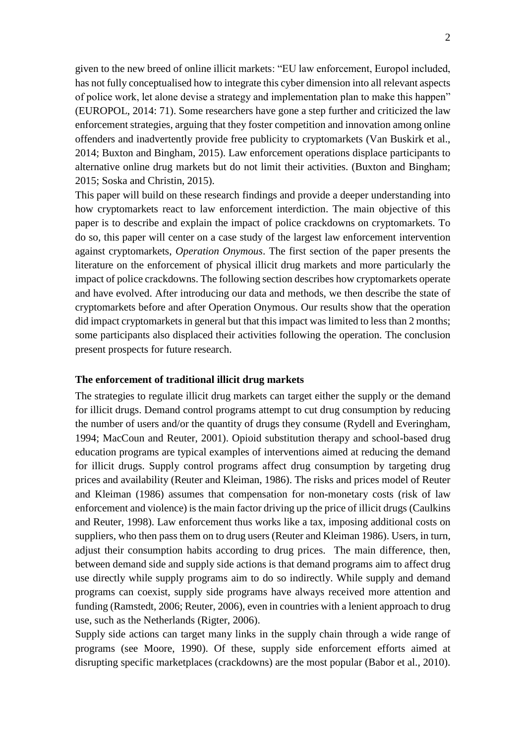given to the new breed of online illicit markets: "EU law enforcement, Europol included, has not fully conceptualised how to integrate this cyber dimension into all relevant aspects of police work, let alone devise a strategy and implementation plan to make this happen" (EUROPOL, 2014: 71). Some researchers have gone a step further and criticized the law enforcement strategies, arguing that they foster competition and innovation among online offenders and inadvertently provide free publicity to cryptomarkets (Van Buskirk et al., 2014; Buxton and Bingham, 2015). Law enforcement operations displace participants to alternative online drug markets but do not limit their activities. (Buxton and Bingham; 2015; Soska and Christin, 2015).

This paper will build on these research findings and provide a deeper understanding into how cryptomarkets react to law enforcement interdiction. The main objective of this paper is to describe and explain the impact of police crackdowns on cryptomarkets. To do so, this paper will center on a case study of the largest law enforcement intervention against cryptomarkets, *Operation Onymous*. The first section of the paper presents the literature on the enforcement of physical illicit drug markets and more particularly the impact of police crackdowns. The following section describes how cryptomarkets operate and have evolved. After introducing our data and methods, we then describe the state of cryptomarkets before and after Operation Onymous. Our results show that the operation did impact cryptomarkets in general but that this impact was limited to less than 2 months; some participants also displaced their activities following the operation. The conclusion present prospects for future research.

#### **The enforcement of traditional illicit drug markets**

The strategies to regulate illicit drug markets can target either the supply or the demand for illicit drugs. Demand control programs attempt to cut drug consumption by reducing the number of users and/or the quantity of drugs they consume (Rydell and Everingham, 1994; MacCoun and Reuter, 2001). Opioid substitution therapy and school-based drug education programs are typical examples of interventions aimed at reducing the demand for illicit drugs. Supply control programs affect drug consumption by targeting drug prices and availability (Reuter and Kleiman, 1986). The risks and prices model of Reuter and Kleiman (1986) assumes that compensation for non-monetary costs (risk of law enforcement and violence) is the main factor driving up the price of illicit drugs (Caulkins and Reuter, 1998). Law enforcement thus works like a tax, imposing additional costs on suppliers, who then pass them on to drug users (Reuter and Kleiman 1986). Users, in turn, adjust their consumption habits according to drug prices. The main difference, then, between demand side and supply side actions is that demand programs aim to affect drug use directly while supply programs aim to do so indirectly. While supply and demand programs can coexist, supply side programs have always received more attention and funding (Ramstedt, 2006; Reuter, 2006), even in countries with a lenient approach to drug use, such as the Netherlands (Rigter, 2006).

Supply side actions can target many links in the supply chain through a wide range of programs (see Moore, 1990). Of these, supply side enforcement efforts aimed at disrupting specific marketplaces (crackdowns) are the most popular (Babor et al., 2010).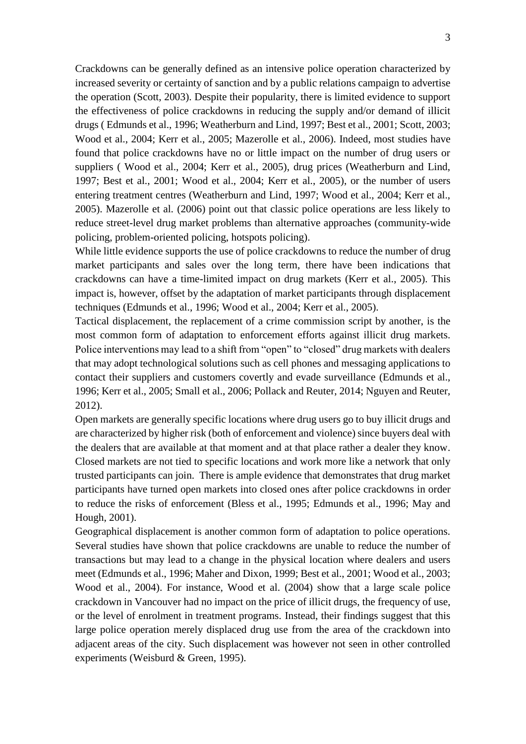Crackdowns can be generally defined as an intensive police operation characterized by increased severity or certainty of sanction and by a public relations campaign to advertise the operation (Scott, 2003). Despite their popularity, there is limited evidence to support the effectiveness of police crackdowns in reducing the supply and/or demand of illicit drugs ( Edmunds et al., 1996; Weatherburn and Lind, 1997; Best et al., 2001; Scott, 2003; Wood et al., 2004; Kerr et al., 2005; Mazerolle et al., 2006). Indeed, most studies have found that police crackdowns have no or little impact on the number of drug users or suppliers ( Wood et al., 2004; Kerr et al., 2005), drug prices (Weatherburn and Lind, 1997; Best et al., 2001; Wood et al., 2004; Kerr et al., 2005), or the number of users entering treatment centres (Weatherburn and Lind, 1997; Wood et al., 2004; Kerr et al., 2005). Mazerolle et al. (2006) point out that classic police operations are less likely to reduce street-level drug market problems than alternative approaches (community-wide policing, problem-oriented policing, hotspots policing).

While little evidence supports the use of police crackdowns to reduce the number of drug market participants and sales over the long term, there have been indications that crackdowns can have a time-limited impact on drug markets (Kerr et al., 2005). This impact is, however, offset by the adaptation of market participants through displacement techniques (Edmunds et al., 1996; Wood et al., 2004; Kerr et al., 2005).

Tactical displacement, the replacement of a crime commission script by another, is the most common form of adaptation to enforcement efforts against illicit drug markets. Police interventions may lead to a shift from "open" to "closed" drug markets with dealers that may adopt technological solutions such as cell phones and messaging applications to contact their suppliers and customers covertly and evade surveillance (Edmunds et al., 1996; Kerr et al., 2005; Small et al., 2006; Pollack and Reuter, 2014; Nguyen and Reuter, 2012).

Open markets are generally specific locations where drug users go to buy illicit drugs and are characterized by higher risk (both of enforcement and violence) since buyers deal with the dealers that are available at that moment and at that place rather a dealer they know. Closed markets are not tied to specific locations and work more like a network that only trusted participants can join. There is ample evidence that demonstrates that drug market participants have turned open markets into closed ones after police crackdowns in order to reduce the risks of enforcement (Bless et al., 1995; Edmunds et al., 1996; May and Hough, 2001).

Geographical displacement is another common form of adaptation to police operations. Several studies have shown that police crackdowns are unable to reduce the number of transactions but may lead to a change in the physical location where dealers and users meet (Edmunds et al., 1996; Maher and Dixon, 1999; Best et al., 2001; Wood et al., 2003; Wood et al., 2004). For instance, Wood et al. (2004) show that a large scale police crackdown in Vancouver had no impact on the price of illicit drugs, the frequency of use, or the level of enrolment in treatment programs. Instead, their findings suggest that this large police operation merely displaced drug use from the area of the crackdown into adjacent areas of the city. Such displacement was however not seen in other controlled experiments (Weisburd & Green, 1995).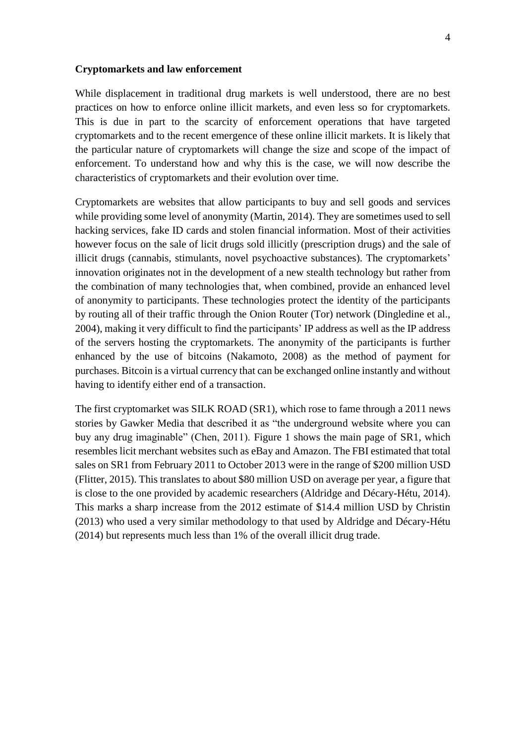#### **Cryptomarkets and law enforcement**

While displacement in traditional drug markets is well understood, there are no best practices on how to enforce online illicit markets, and even less so for cryptomarkets. This is due in part to the scarcity of enforcement operations that have targeted cryptomarkets and to the recent emergence of these online illicit markets. It is likely that the particular nature of cryptomarkets will change the size and scope of the impact of enforcement. To understand how and why this is the case, we will now describe the characteristics of cryptomarkets and their evolution over time.

Cryptomarkets are websites that allow participants to buy and sell goods and services while providing some level of anonymity (Martin, 2014). They are sometimes used to sell hacking services, fake ID cards and stolen financial information. Most of their activities however focus on the sale of licit drugs sold illicitly (prescription drugs) and the sale of illicit drugs (cannabis, stimulants, novel psychoactive substances). The cryptomarkets' innovation originates not in the development of a new stealth technology but rather from the combination of many technologies that, when combined, provide an enhanced level of anonymity to participants. These technologies protect the identity of the participants by routing all of their traffic through the Onion Router (Tor) network (Dingledine et al., 2004), making it very difficult to find the participants' IP address as well as the IP address of the servers hosting the cryptomarkets. The anonymity of the participants is further enhanced by the use of bitcoins (Nakamoto, 2008) as the method of payment for purchases. Bitcoin is a virtual currency that can be exchanged online instantly and without having to identify either end of a transaction.

The first cryptomarket was SILK ROAD (SR1), which rose to fame through a 2011 news stories by Gawker Media that described it as "the underground website where you can buy any drug imaginable" (Chen, 2011). Figure 1 shows the main page of SR1, which resembles licit merchant websites such as eBay and Amazon. The FBI estimated that total sales on SR1 from February 2011 to October 2013 were in the range of \$200 million USD (Flitter, 2015). This translates to about \$80 million USD on average per year, a figure that is close to the one provided by academic researchers (Aldridge and Décary-Hétu, 2014). This marks a sharp increase from the 2012 estimate of \$14.4 million USD by Christin (2013) who used a very similar methodology to that used by Aldridge and Décary-Hétu (2014) but represents much less than 1% of the overall illicit drug trade.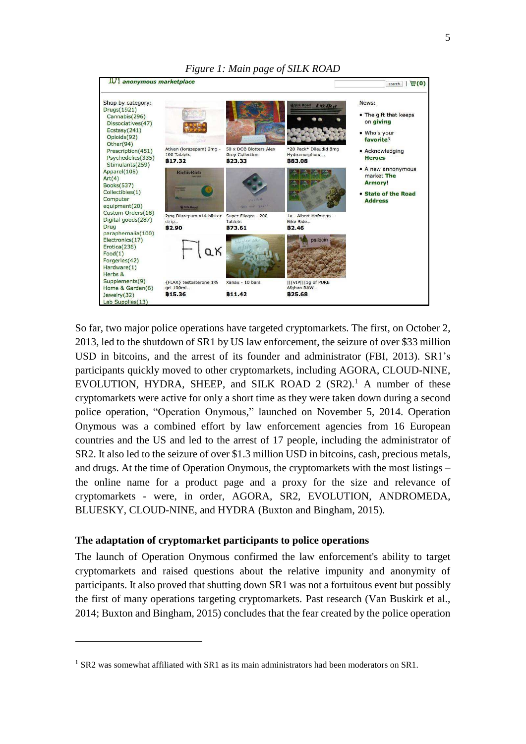

So far, two major police operations have targeted cryptomarkets. The first, on October 2, 2013, led to the shutdown of SR1 by US law enforcement, the seizure of over \$33 million USD in bitcoins, and the arrest of its founder and administrator (FBI, 2013). SR1's participants quickly moved to other cryptomarkets, including AGORA, CLOUD-NINE, EVOLUTION, HYDRA, SHEEP, and SILK ROAD 2  $(SR2)$ .<sup>1</sup> A number of these cryptomarkets were active for only a short time as they were taken down during a second police operation, "Operation Onymous," launched on November 5, 2014. Operation Onymous was a combined effort by law enforcement agencies from 16 European countries and the US and led to the arrest of 17 people, including the administrator of SR2. It also led to the seizure of over \$1.3 million USD in bitcoins, cash, precious metals, and drugs. At the time of Operation Onymous, the cryptomarkets with the most listings – the online name for a product page and a proxy for the size and relevance of cryptomarkets - were, in order, AGORA, SR2, EVOLUTION, ANDROMEDA, BLUESKY, CLOUD-NINE, and HYDRA (Buxton and Bingham, 2015).

#### **The adaptation of cryptomarket participants to police operations**

-

The launch of Operation Onymous confirmed the law enforcement's ability to target cryptomarkets and raised questions about the relative impunity and anonymity of participants. It also proved that shutting down SR1 was not a fortuitous event but possibly the first of many operations targeting cryptomarkets. Past research (Van Buskirk et al., 2014; Buxton and Bingham, 2015) concludes that the fear created by the police operation

<sup>&</sup>lt;sup>1</sup> SR2 was somewhat affiliated with SR1 as its main administrators had been moderators on SR1.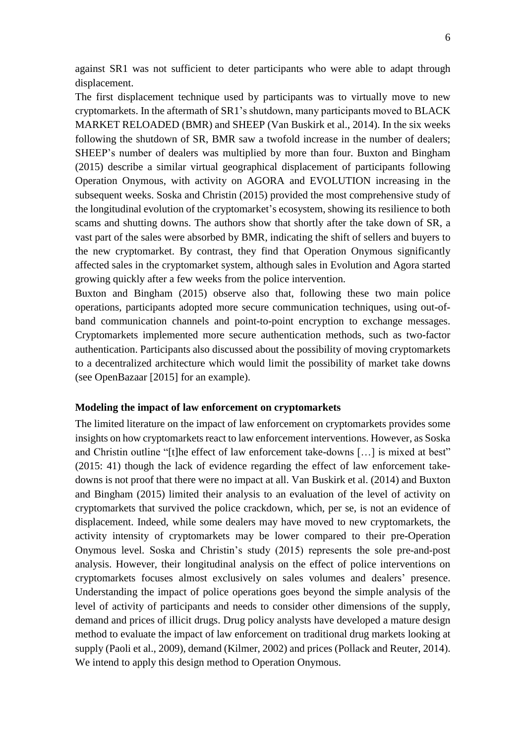against SR1 was not sufficient to deter participants who were able to adapt through displacement.

The first displacement technique used by participants was to virtually move to new cryptomarkets. In the aftermath of SR1's shutdown, many participants moved to BLACK MARKET RELOADED (BMR) and SHEEP (Van Buskirk et al., 2014). In the six weeks following the shutdown of SR, BMR saw a twofold increase in the number of dealers; SHEEP's number of dealers was multiplied by more than four. Buxton and Bingham (2015) describe a similar virtual geographical displacement of participants following Operation Onymous, with activity on AGORA and EVOLUTION increasing in the subsequent weeks. Soska and Christin (2015) provided the most comprehensive study of the longitudinal evolution of the cryptomarket's ecosystem, showing its resilience to both scams and shutting downs. The authors show that shortly after the take down of SR, a vast part of the sales were absorbed by BMR, indicating the shift of sellers and buyers to the new cryptomarket. By contrast, they find that Operation Onymous significantly affected sales in the cryptomarket system, although sales in Evolution and Agora started growing quickly after a few weeks from the police intervention.

Buxton and Bingham (2015) observe also that, following these two main police operations, participants adopted more secure communication techniques, using out-ofband communication channels and point-to-point encryption to exchange messages. Cryptomarkets implemented more secure authentication methods, such as two-factor authentication. Participants also discussed about the possibility of moving cryptomarkets to a decentralized architecture which would limit the possibility of market take downs (see OpenBazaar [2015] for an example).

#### **Modeling the impact of law enforcement on cryptomarkets**

The limited literature on the impact of law enforcement on cryptomarkets provides some insights on how cryptomarkets react to law enforcement interventions. However, as Soska and Christin outline "[t]he effect of law enforcement take-downs […] is mixed at best" (2015: 41) though the lack of evidence regarding the effect of law enforcement takedowns is not proof that there were no impact at all. Van Buskirk et al. (2014) and Buxton and Bingham (2015) limited their analysis to an evaluation of the level of activity on cryptomarkets that survived the police crackdown, which, per se, is not an evidence of displacement. Indeed, while some dealers may have moved to new cryptomarkets, the activity intensity of cryptomarkets may be lower compared to their pre-Operation Onymous level. Soska and Christin's study (2015) represents the sole pre-and-post analysis. However, their longitudinal analysis on the effect of police interventions on cryptomarkets focuses almost exclusively on sales volumes and dealers' presence. Understanding the impact of police operations goes beyond the simple analysis of the level of activity of participants and needs to consider other dimensions of the supply, demand and prices of illicit drugs. Drug policy analysts have developed a mature design method to evaluate the impact of law enforcement on traditional drug markets looking at supply (Paoli et al., 2009), demand (Kilmer, 2002) and prices (Pollack and Reuter, 2014). We intend to apply this design method to Operation Onymous.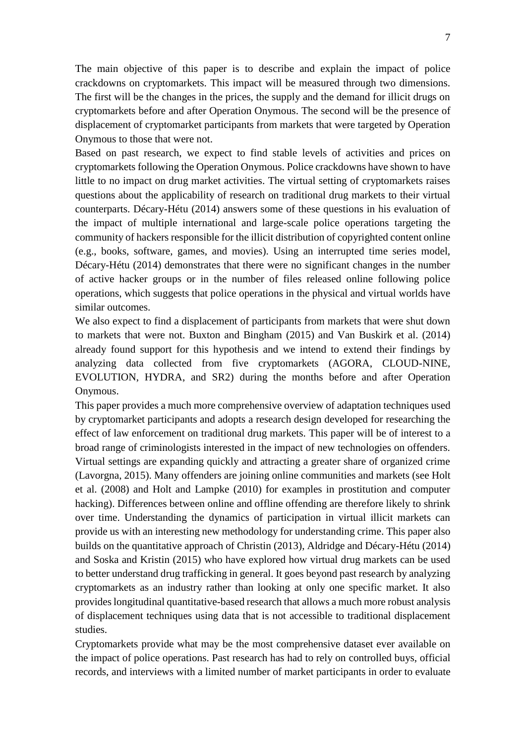The main objective of this paper is to describe and explain the impact of police crackdowns on cryptomarkets. This impact will be measured through two dimensions. The first will be the changes in the prices, the supply and the demand for illicit drugs on cryptomarkets before and after Operation Onymous. The second will be the presence of displacement of cryptomarket participants from markets that were targeted by Operation Onymous to those that were not.

Based on past research, we expect to find stable levels of activities and prices on cryptomarkets following the Operation Onymous. Police crackdowns have shown to have little to no impact on drug market activities. The virtual setting of cryptomarkets raises questions about the applicability of research on traditional drug markets to their virtual counterparts. Décary-Hétu (2014) answers some of these questions in his evaluation of the impact of multiple international and large-scale police operations targeting the community of hackers responsible for the illicit distribution of copyrighted content online (e.g., books, software, games, and movies). Using an interrupted time series model, Décary-Hétu (2014) demonstrates that there were no significant changes in the number of active hacker groups or in the number of files released online following police operations, which suggests that police operations in the physical and virtual worlds have similar outcomes.

We also expect to find a displacement of participants from markets that were shut down to markets that were not. Buxton and Bingham (2015) and Van Buskirk et al. (2014) already found support for this hypothesis and we intend to extend their findings by analyzing data collected from five cryptomarkets (AGORA, CLOUD-NINE, EVOLUTION, HYDRA, and SR2) during the months before and after Operation Onymous.

This paper provides a much more comprehensive overview of adaptation techniques used by cryptomarket participants and adopts a research design developed for researching the effect of law enforcement on traditional drug markets. This paper will be of interest to a broad range of criminologists interested in the impact of new technologies on offenders. Virtual settings are expanding quickly and attracting a greater share of organized crime (Lavorgna, 2015). Many offenders are joining online communities and markets (see Holt et al. (2008) and Holt and Lampke (2010) for examples in prostitution and computer hacking). Differences between online and offline offending are therefore likely to shrink over time. Understanding the dynamics of participation in virtual illicit markets can provide us with an interesting new methodology for understanding crime. This paper also builds on the quantitative approach of Christin (2013), Aldridge and Décary-Hétu (2014) and Soska and Kristin (2015) who have explored how virtual drug markets can be used to better understand drug trafficking in general. It goes beyond past research by analyzing cryptomarkets as an industry rather than looking at only one specific market. It also provides longitudinal quantitative-based research that allows a much more robust analysis of displacement techniques using data that is not accessible to traditional displacement studies.

Cryptomarkets provide what may be the most comprehensive dataset ever available on the impact of police operations. Past research has had to rely on controlled buys, official records, and interviews with a limited number of market participants in order to evaluate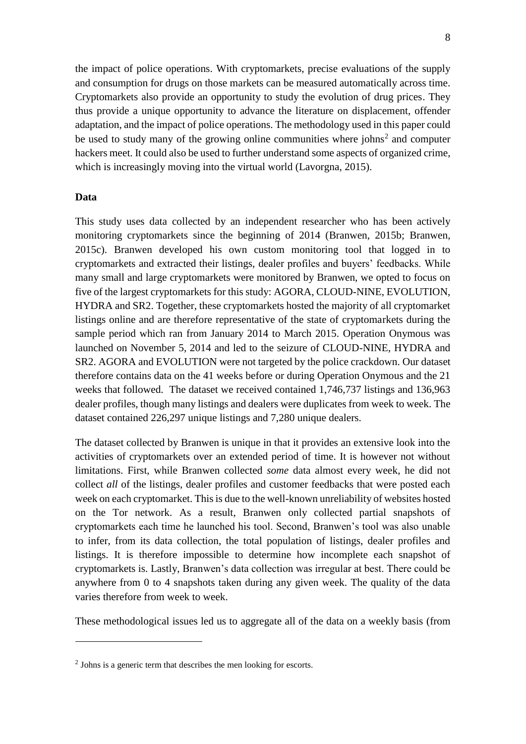the impact of police operations. With cryptomarkets, precise evaluations of the supply and consumption for drugs on those markets can be measured automatically across time. Cryptomarkets also provide an opportunity to study the evolution of drug prices. They thus provide a unique opportunity to advance the literature on displacement, offender adaptation, and the impact of police operations. The methodology used in this paper could be used to study many of the growing online communities where johns<sup>2</sup> and computer hackers meet. It could also be used to further understand some aspects of organized crime, which is increasingly moving into the virtual world (Lavorgna, 2015).

#### **Data**

-

This study uses data collected by an independent researcher who has been actively monitoring cryptomarkets since the beginning of 2014 (Branwen, 2015b; Branwen, 2015c). Branwen developed his own custom monitoring tool that logged in to cryptomarkets and extracted their listings, dealer profiles and buyers' feedbacks. While many small and large cryptomarkets were monitored by Branwen, we opted to focus on five of the largest cryptomarkets for this study: AGORA, CLOUD-NINE, EVOLUTION, HYDRA and SR2. Together, these cryptomarkets hosted the majority of all cryptomarket listings online and are therefore representative of the state of cryptomarkets during the sample period which ran from January 2014 to March 2015. Operation Onymous was launched on November 5, 2014 and led to the seizure of CLOUD-NINE, HYDRA and SR2. AGORA and EVOLUTION were not targeted by the police crackdown. Our dataset therefore contains data on the 41 weeks before or during Operation Onymous and the 21 weeks that followed. The dataset we received contained 1,746,737 listings and 136,963 dealer profiles, though many listings and dealers were duplicates from week to week. The dataset contained 226,297 unique listings and 7,280 unique dealers.

The dataset collected by Branwen is unique in that it provides an extensive look into the activities of cryptomarkets over an extended period of time. It is however not without limitations. First, while Branwen collected *some* data almost every week, he did not collect *all* of the listings, dealer profiles and customer feedbacks that were posted each week on each cryptomarket. This is due to the well-known unreliability of websites hosted on the Tor network. As a result, Branwen only collected partial snapshots of cryptomarkets each time he launched his tool. Second, Branwen's tool was also unable to infer, from its data collection, the total population of listings, dealer profiles and listings. It is therefore impossible to determine how incomplete each snapshot of cryptomarkets is. Lastly, Branwen's data collection was irregular at best. There could be anywhere from 0 to 4 snapshots taken during any given week. The quality of the data varies therefore from week to week.

These methodological issues led us to aggregate all of the data on a weekly basis (from

 $2$  Johns is a generic term that describes the men looking for escorts.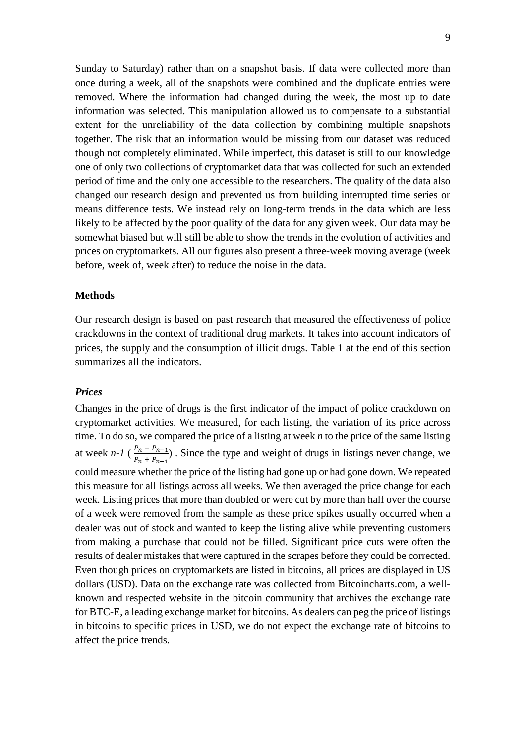Sunday to Saturday) rather than on a snapshot basis. If data were collected more than once during a week, all of the snapshots were combined and the duplicate entries were removed. Where the information had changed during the week, the most up to date information was selected. This manipulation allowed us to compensate to a substantial extent for the unreliability of the data collection by combining multiple snapshots together. The risk that an information would be missing from our dataset was reduced though not completely eliminated. While imperfect, this dataset is still to our knowledge one of only two collections of cryptomarket data that was collected for such an extended period of time and the only one accessible to the researchers. The quality of the data also changed our research design and prevented us from building interrupted time series or means difference tests. We instead rely on long-term trends in the data which are less likely to be affected by the poor quality of the data for any given week. Our data may be somewhat biased but will still be able to show the trends in the evolution of activities and prices on cryptomarkets. All our figures also present a three-week moving average (week before, week of, week after) to reduce the noise in the data.

#### **Methods**

Our research design is based on past research that measured the effectiveness of police crackdowns in the context of traditional drug markets. It takes into account indicators of prices, the supply and the consumption of illicit drugs. Table 1 at the end of this section summarizes all the indicators.

# *Prices*

Changes in the price of drugs is the first indicator of the impact of police crackdown on cryptomarket activities. We measured, for each listing, the variation of its price across time. To do so, we compared the price of a listing at week *n* to the price of the same listing at week  $n-1$  ( $\frac{P_n - P_{n-1}}{P_n + P_n}$  $P_n + P_{n-1}$ ) . Since the type and weight of drugs in listings never change, we could measure whether the price of the listing had gone up or had gone down. We repeated this measure for all listings across all weeks. We then averaged the price change for each week. Listing prices that more than doubled or were cut by more than half over the course of a week were removed from the sample as these price spikes usually occurred when a dealer was out of stock and wanted to keep the listing alive while preventing customers from making a purchase that could not be filled. Significant price cuts were often the results of dealer mistakes that were captured in the scrapes before they could be corrected. Even though prices on cryptomarkets are listed in bitcoins, all prices are displayed in US dollars (USD). Data on the exchange rate was collected from Bitcoincharts.com, a wellknown and respected website in the bitcoin community that archives the exchange rate for BTC-E, a leading exchange market for bitcoins. As dealers can peg the price of listings in bitcoins to specific prices in USD, we do not expect the exchange rate of bitcoins to affect the price trends.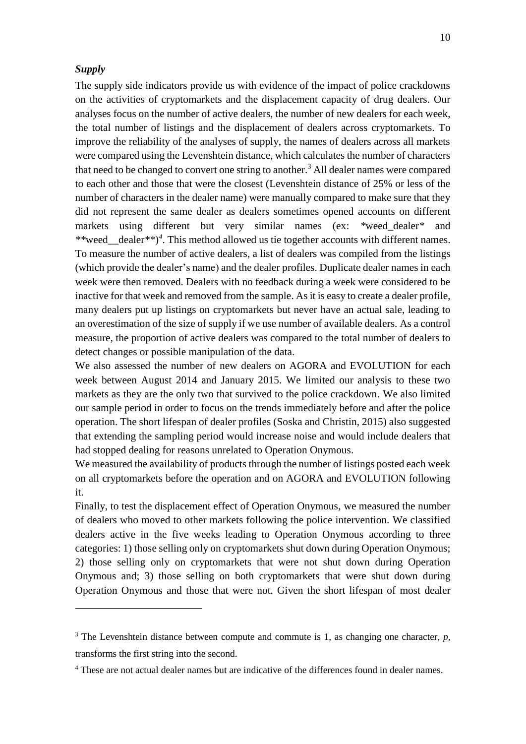# *Supply*

-

The supply side indicators provide us with evidence of the impact of police crackdowns on the activities of cryptomarkets and the displacement capacity of drug dealers. Our analyses focus on the number of active dealers, the number of new dealers for each week, the total number of listings and the displacement of dealers across cryptomarkets. To improve the reliability of the analyses of supply, the names of dealers across all markets were compared using the Levenshtein distance, which calculates the number of characters that need to be changed to convert one string to another.<sup>3</sup> All dealer names were compared to each other and those that were the closest (Levenshtein distance of 25% or less of the number of characters in the dealer name) were manually compared to make sure that they did not represent the same dealer as dealers sometimes opened accounts on different markets using different but very similar names (ex: *\**weed\_dealer*\** and *\*\**weed\_\_dealer*\*\**) *4* . This method allowed us tie together accounts with different names. To measure the number of active dealers, a list of dealers was compiled from the listings (which provide the dealer's name) and the dealer profiles. Duplicate dealer names in each week were then removed. Dealers with no feedback during a week were considered to be inactive for that week and removed from the sample. As it is easy to create a dealer profile, many dealers put up listings on cryptomarkets but never have an actual sale, leading to an overestimation of the size of supply if we use number of available dealers. As a control measure, the proportion of active dealers was compared to the total number of dealers to detect changes or possible manipulation of the data.

We also assessed the number of new dealers on AGORA and EVOLUTION for each week between August 2014 and January 2015. We limited our analysis to these two markets as they are the only two that survived to the police crackdown. We also limited our sample period in order to focus on the trends immediately before and after the police operation. The short lifespan of dealer profiles (Soska and Christin, 2015) also suggested that extending the sampling period would increase noise and would include dealers that had stopped dealing for reasons unrelated to Operation Onymous.

We measured the availability of products through the number of listings posted each week on all cryptomarkets before the operation and on AGORA and EVOLUTION following it.

Finally, to test the displacement effect of Operation Onymous, we measured the number of dealers who moved to other markets following the police intervention. We classified dealers active in the five weeks leading to Operation Onymous according to three categories: 1) those selling only on cryptomarkets shut down during Operation Onymous; 2) those selling only on cryptomarkets that were not shut down during Operation Onymous and; 3) those selling on both cryptomarkets that were shut down during Operation Onymous and those that were not. Given the short lifespan of most dealer

 $3$  The Levenshtein distance between compute and commute is 1, as changing one character,  $p$ , transforms the first string into the second.

<sup>&</sup>lt;sup>4</sup> These are not actual dealer names but are indicative of the differences found in dealer names.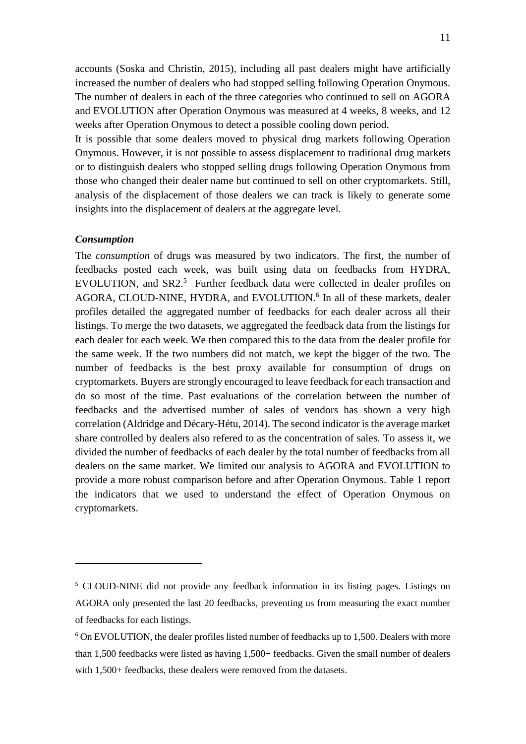accounts (Soska and Christin, 2015), including all past dealers might have artificially increased the number of dealers who had stopped selling following Operation Onymous. The number of dealers in each of the three categories who continued to sell on AGORA and EVOLUTION after Operation Onymous was measured at 4 weeks, 8 weeks, and 12 weeks after Operation Onymous to detect a possible cooling down period.

It is possible that some dealers moved to physical drug markets following Operation Onymous. However, it is not possible to assess displacement to traditional drug markets or to distinguish dealers who stopped selling drugs following Operation Onymous from those who changed their dealer name but continued to sell on other cryptomarkets. Still, analysis of the displacement of those dealers we can track is likely to generate some insights into the displacement of dealers at the aggregate level.

#### *Consumption*

-

The *consumption* of drugs was measured by two indicators. The first, the number of feedbacks posted each week, was built using data on feedbacks from HYDRA, EVOLUTION, and  $SR2<sup>5</sup>$  Further feedback data were collected in dealer profiles on AGORA, CLOUD-NINE, HYDRA, and EVOLUTION.<sup>6</sup> In all of these markets, dealer profiles detailed the aggregated number of feedbacks for each dealer across all their listings. To merge the two datasets, we aggregated the feedback data from the listings for each dealer for each week. We then compared this to the data from the dealer profile for the same week. If the two numbers did not match, we kept the bigger of the two. The number of feedbacks is the best proxy available for consumption of drugs on cryptomarkets. Buyers are strongly encouraged to leave feedback for each transaction and do so most of the time. Past evaluations of the correlation between the number of feedbacks and the advertised number of sales of vendors has shown a very high correlation (Aldridge and Décary-Hétu, 2014). The second indicator is the average market share controlled by dealers also refered to as the concentration of sales. To assess it, we divided the number of feedbacks of each dealer by the total number of feedbacks from all dealers on the same market. We limited our analysis to AGORA and EVOLUTION to provide a more robust comparison before and after Operation Onymous. Table 1 report the indicators that we used to understand the effect of Operation Onymous on cryptomarkets.

<sup>&</sup>lt;sup>5</sup> CLOUD-NINE did not provide any feedback information in its listing pages. Listings on AGORA only presented the last 20 feedbacks, preventing us from measuring the exact number of feedbacks for each listings.

<sup>&</sup>lt;sup>6</sup> On EVOLUTION, the dealer profiles listed number of feedbacks up to 1,500. Dealers with more than 1,500 feedbacks were listed as having 1,500+ feedbacks. Given the small number of dealers with 1,500+ feedbacks, these dealers were removed from the datasets.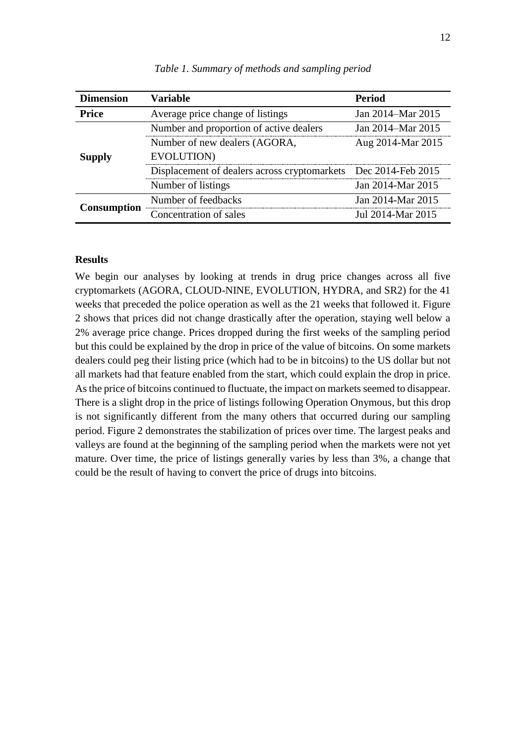| <b>Dimension</b>   | <b>Variable</b>                                                | <b>Period</b>     |
|--------------------|----------------------------------------------------------------|-------------------|
| <b>Price</b>       | Average price change of listings                               | Jan 2014–Mar 2015 |
| <b>Supply</b>      | Number and proportion of active dealers                        | Jan 2014–Mar 2015 |
|                    | Number of new dealers (AGORA,                                  | Aug 2014-Mar 2015 |
|                    | EVOLUTION)                                                     |                   |
|                    | Displacement of dealers across cryptomarkets Dec 2014-Feb 2015 |                   |
|                    | Number of listings                                             | Jan 2014-Mar 2015 |
| <b>Consumption</b> | Number of feedbacks                                            | Jan 2014-Mar 2015 |
|                    | Concentration of sales                                         | Jul 2014-Mar 2015 |

*Table 1. Summary of methods and sampling period* 

#### **Results**

We begin our analyses by looking at trends in drug price changes across all five cryptomarkets (AGORA, CLOUD-NINE, EVOLUTION, HYDRA, and SR2) for the 41 weeks that preceded the police operation as well as the 21 weeks that followed it. Figure 2 shows that prices did not change drastically after the operation, staying well below a 2% average price change. Prices dropped during the first weeks of the sampling period but this could be explained by the drop in price of the value of bitcoins. On some markets dealers could peg their listing price (which had to be in bitcoins) to the US dollar but not all markets had that feature enabled from the start, which could explain the drop in price. As the price of bitcoins continued to fluctuate, the impact on markets seemed to disappear. There is a slight drop in the price of listings following Operation Onymous, but this drop is not significantly different from the many others that occurred during our sampling period. Figure 2 demonstrates the stabilization of prices over time. The largest peaks and valleys are found at the beginning of the sampling period when the markets were not yet mature. Over time, the price of listings generally varies by less than 3%, a change that could be the result of having to convert the price of drugs into bitcoins.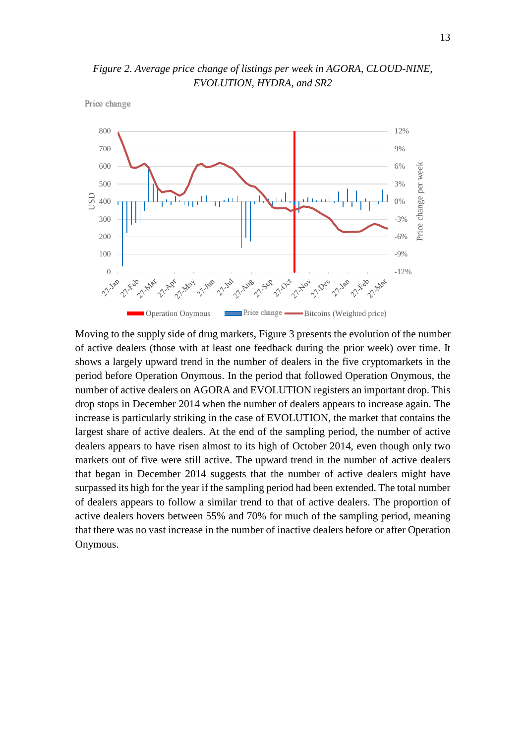

0 - 0 - 0 - 0 -

27.88

*Figure 2. Average price change of listings per week in AGORA, CLOUD-NINE, EVOLUTION, HYDRA, and SR2* 

Moving to the supply side of drug markets, Figure 3 presents the evolution of the number of active dealers (those with at least one feedback during the prior week) over time. It shows a largely upward trend in the number of dealers in the five cryptomarkets in the period before Operation Onymous. In the period that followed Operation Onymous, the number of active dealers on AGORA and EVOLUTION registers an important drop. This drop stops in December 2014 when the number of dealers appears to increase again. The increase is particularly striking in the case of EVOLUTION, the market that contains the largest share of active dealers. At the end of the sampling period, the number of active dealers appears to have risen almost to its high of October 2014, even though only two markets out of five were still active. The upward trend in the number of active dealers that began in December 2014 suggests that the number of active dealers might have surpassed its high for the year if the sampling period had been extended. The total number of dealers appears to follow a similar trend to that of active dealers. The proportion of active dealers hovers between 55% and 70% for much of the sampling period, meaning that there was no vast increase in the number of inactive dealers before or after Operation Onymous.

Operation Onymous **Inflation Bitcoins** (Weighted price)

 $Q_0^x$ 

-12%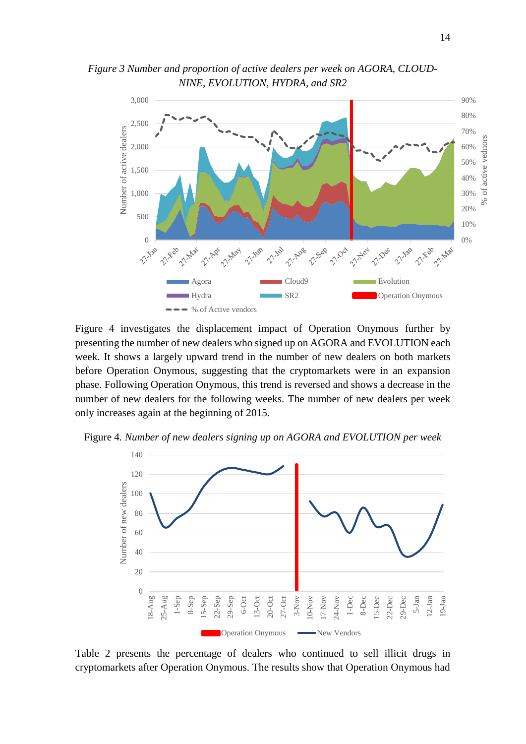*Figure 3 Number and proportion of active dealers per week on AGORA, CLOUD-NINE, EVOLUTION, HYDRA, and SR2* 



Figure 4 investigates the displacement impact of Operation Onymous further by presenting the number of new dealers who signed up on AGORA and EVOLUTION each week. It shows a largely upward trend in the number of new dealers on both markets before Operation Onymous, suggesting that the cryptomarkets were in an expansion phase. Following Operation Onymous, this trend is reversed and shows a decrease in the number of new dealers for the following weeks. The number of new dealers per week only increases again at the beginning of 2015.

Figure 4*. Number of new dealers signing up on AGORA and EVOLUTION per week* 



[Table 2](#page-15-0) presents the percentage of dealers who continued to sell illicit drugs in cryptomarkets after Operation Onymous. The results show that Operation Onymous had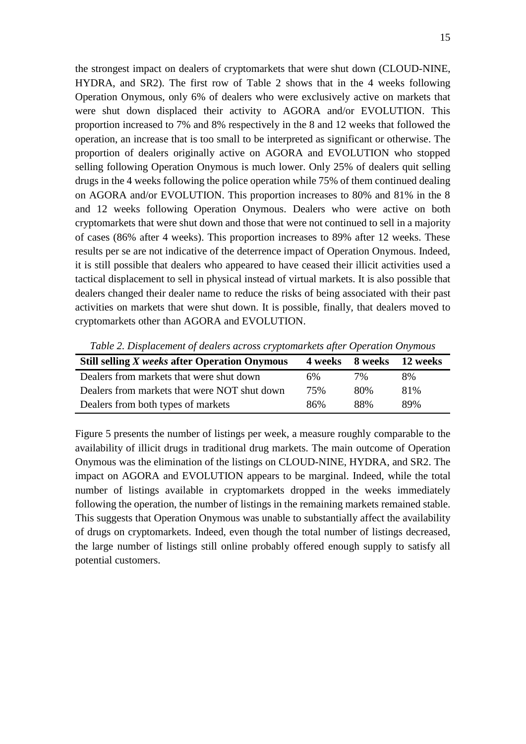the strongest impact on dealers of cryptomarkets that were shut down (CLOUD-NINE, HYDRA, and SR2). The first row of [Table 2](#page-15-0) shows that in the 4 weeks following Operation Onymous, only 6% of dealers who were exclusively active on markets that were shut down displaced their activity to AGORA and/or EVOLUTION. This proportion increased to 7% and 8% respectively in the 8 and 12 weeks that followed the operation, an increase that is too small to be interpreted as significant or otherwise. The proportion of dealers originally active on AGORA and EVOLUTION who stopped selling following Operation Onymous is much lower. Only 25% of dealers quit selling drugs in the 4 weeks following the police operation while 75% of them continued dealing on AGORA and/or EVOLUTION. This proportion increases to 80% and 81% in the 8 and 12 weeks following Operation Onymous. Dealers who were active on both cryptomarkets that were shut down and those that were not continued to sell in a majority of cases (86% after 4 weeks). This proportion increases to 89% after 12 weeks. These results per se are not indicative of the deterrence impact of Operation Onymous. Indeed, it is still possible that dealers who appeared to have ceased their illicit activities used a tactical displacement to sell in physical instead of virtual markets. It is also possible that dealers changed their dealer name to reduce the risks of being associated with their past activities on markets that were shut down. It is possible, finally, that dealers moved to cryptomarkets other than AGORA and EVOLUTION.

| Still selling X weeks after Operation Onymous | 4 weeks | 8 weeks | 12 weeks |
|-----------------------------------------------|---------|---------|----------|
| Dealers from markets that were shut down      | 6%      | 7%      | 8%       |
| Dealers from markets that were NOT shut down  | 75%     | 80%     | 81%      |
| Dealers from both types of markets            | 86%     | 88%     | 89%      |

<span id="page-15-0"></span>*Table 2. Displacement of dealers across cryptomarkets after Operation Onymous* 

Figure 5 presents the number of listings per week, a measure roughly comparable to the availability of illicit drugs in traditional drug markets. The main outcome of Operation Onymous was the elimination of the listings on CLOUD-NINE, HYDRA, and SR2. The impact on AGORA and EVOLUTION appears to be marginal. Indeed, while the total number of listings available in cryptomarkets dropped in the weeks immediately following the operation, the number of listings in the remaining markets remained stable. This suggests that Operation Onymous was unable to substantially affect the availability of drugs on cryptomarkets. Indeed, even though the total number of listings decreased, the large number of listings still online probably offered enough supply to satisfy all potential customers.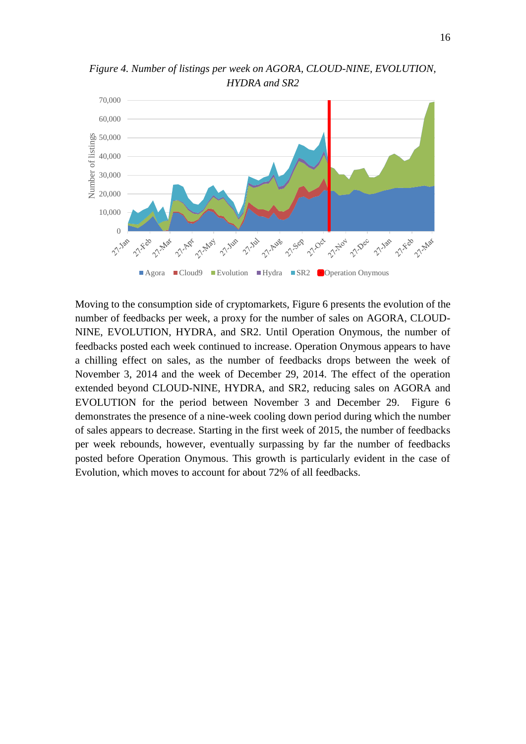70,000 60,000 Number of listings 50,000 40,000 30,000 20,000 10,000 0 0 21-May **10 - 11 Mai** 27.100 27.588 27-1284 27.101 27. Aug 27.004 27.200 27.588 27.7104 ■ Agora ■ Cloud9 ■ Evolution ■ Hydra ■ SR2 ● Operation Onymous

*Figure 4. Number of listings per week on AGORA, CLOUD-NINE, EVOLUTION, HYDRA and SR2* 

Moving to the consumption side of cryptomarkets, Figure 6 presents the evolution of the number of feedbacks per week, a proxy for the number of sales on AGORA, CLOUD-NINE, EVOLUTION, HYDRA, and SR2. Until Operation Onymous, the number of feedbacks posted each week continued to increase. Operation Onymous appears to have a chilling effect on sales, as the number of feedbacks drops between the week of November 3, 2014 and the week of December 29, 2014. The effect of the operation extended beyond CLOUD-NINE, HYDRA, and SR2, reducing sales on AGORA and EVOLUTION for the period between November 3 and December 29. Figure 6 demonstrates the presence of a nine-week cooling down period during which the number of sales appears to decrease. Starting in the first week of 2015, the number of feedbacks per week rebounds, however, eventually surpassing by far the number of feedbacks posted before Operation Onymous. This growth is particularly evident in the case of Evolution, which moves to account for about 72% of all feedbacks.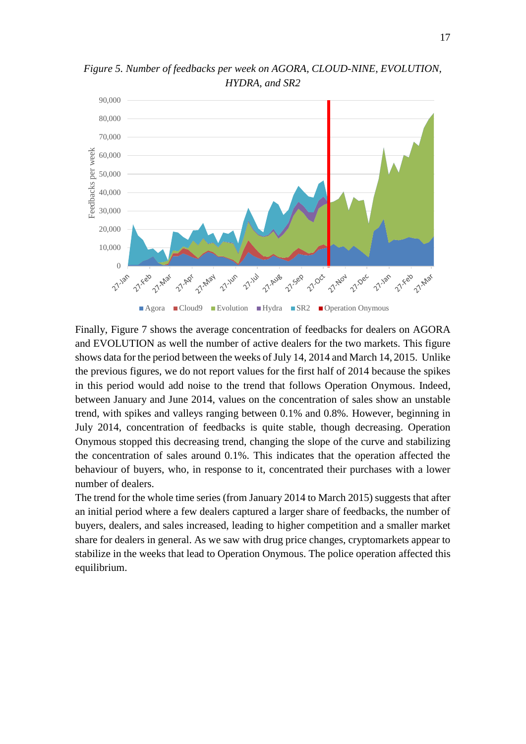

*Figure 5. Number of feedbacks per week on AGORA, CLOUD-NINE, EVOLUTION, HYDRA, and SR2* 

■ Agora ■ Cloud9 ■ Evolution ■ Hydra ■ SR2 ■ Operation Onymous

Finally, Figure 7 shows the average concentration of feedbacks for dealers on AGORA and EVOLUTION as well the number of active dealers for the two markets. This figure shows data for the period between the weeks of July 14, 2014 and March 14, 2015. Unlike the previous figures, we do not report values for the first half of 2014 because the spikes in this period would add noise to the trend that follows Operation Onymous. Indeed, between January and June 2014, values on the concentration of sales show an unstable trend, with spikes and valleys ranging between 0.1% and 0.8%. However, beginning in July 2014, concentration of feedbacks is quite stable, though decreasing. Operation Onymous stopped this decreasing trend, changing the slope of the curve and stabilizing the concentration of sales around 0.1%. This indicates that the operation affected the behaviour of buyers, who, in response to it, concentrated their purchases with a lower number of dealers.

The trend for the whole time series (from January 2014 to March 2015) suggests that after an initial period where a few dealers captured a larger share of feedbacks, the number of buyers, dealers, and sales increased, leading to higher competition and a smaller market share for dealers in general. As we saw with drug price changes, cryptomarkets appear to stabilize in the weeks that lead to Operation Onymous. The police operation affected this equilibrium.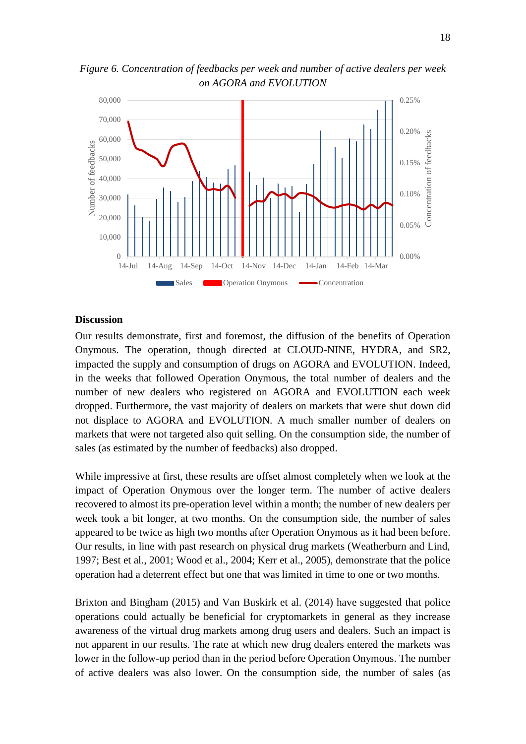*Figure 6. Concentration of feedbacks per week and number of active dealers per week on AGORA and EVOLUTION* 



### **Discussion**

Our results demonstrate, first and foremost, the diffusion of the benefits of Operation Onymous. The operation, though directed at CLOUD-NINE, HYDRA, and SR2, impacted the supply and consumption of drugs on AGORA and EVOLUTION. Indeed, in the weeks that followed Operation Onymous, the total number of dealers and the number of new dealers who registered on AGORA and EVOLUTION each week dropped. Furthermore, the vast majority of dealers on markets that were shut down did not displace to AGORA and EVOLUTION. A much smaller number of dealers on markets that were not targeted also quit selling. On the consumption side, the number of sales (as estimated by the number of feedbacks) also dropped.

While impressive at first, these results are offset almost completely when we look at the impact of Operation Onymous over the longer term. The number of active dealers recovered to almost its pre-operation level within a month; the number of new dealers per week took a bit longer, at two months. On the consumption side, the number of sales appeared to be twice as high two months after Operation Onymous as it had been before. Our results, in line with past research on physical drug markets (Weatherburn and Lind, 1997; Best et al., 2001; Wood et al., 2004; Kerr et al., 2005), demonstrate that the police operation had a deterrent effect but one that was limited in time to one or two months.

Brixton and Bingham (2015) and Van Buskirk et al. (2014) have suggested that police operations could actually be beneficial for cryptomarkets in general as they increase awareness of the virtual drug markets among drug users and dealers. Such an impact is not apparent in our results. The rate at which new drug dealers entered the markets was lower in the follow-up period than in the period before Operation Onymous. The number of active dealers was also lower. On the consumption side, the number of sales (as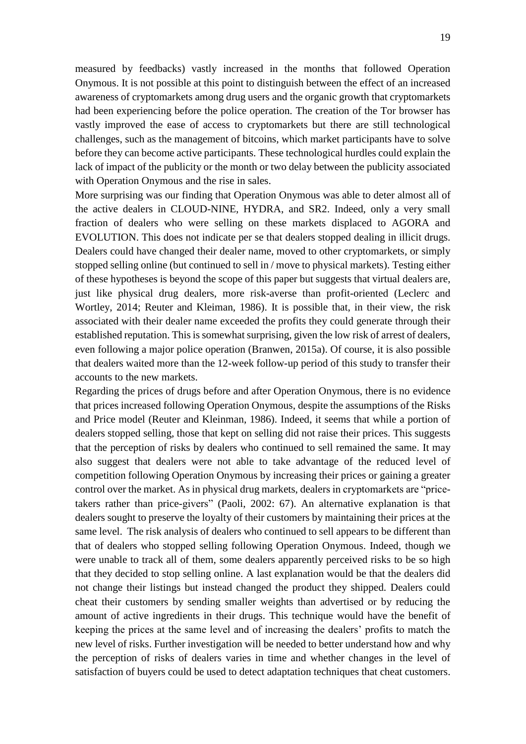measured by feedbacks) vastly increased in the months that followed Operation Onymous. It is not possible at this point to distinguish between the effect of an increased awareness of cryptomarkets among drug users and the organic growth that cryptomarkets had been experiencing before the police operation. The creation of the Tor browser has vastly improved the ease of access to cryptomarkets but there are still technological challenges, such as the management of bitcoins, which market participants have to solve before they can become active participants. These technological hurdles could explain the lack of impact of the publicity or the month or two delay between the publicity associated with Operation Onymous and the rise in sales.

More surprising was our finding that Operation Onymous was able to deter almost all of the active dealers in CLOUD-NINE, HYDRA, and SR2. Indeed, only a very small fraction of dealers who were selling on these markets displaced to AGORA and EVOLUTION. This does not indicate per se that dealers stopped dealing in illicit drugs. Dealers could have changed their dealer name, moved to other cryptomarkets, or simply stopped selling online (but continued to sell in / move to physical markets). Testing either of these hypotheses is beyond the scope of this paper but suggests that virtual dealers are, just like physical drug dealers, more risk-averse than profit-oriented (Leclerc and Wortley, 2014; Reuter and Kleiman, 1986). It is possible that, in their view, the risk associated with their dealer name exceeded the profits they could generate through their established reputation. This is somewhat surprising, given the low risk of arrest of dealers, even following a major police operation (Branwen, 2015a). Of course, it is also possible that dealers waited more than the 12-week follow-up period of this study to transfer their accounts to the new markets.

Regarding the prices of drugs before and after Operation Onymous, there is no evidence that prices increased following Operation Onymous, despite the assumptions of the Risks and Price model (Reuter and Kleinman, 1986). Indeed, it seems that while a portion of dealers stopped selling, those that kept on selling did not raise their prices. This suggests that the perception of risks by dealers who continued to sell remained the same. It may also suggest that dealers were not able to take advantage of the reduced level of competition following Operation Onymous by increasing their prices or gaining a greater control over the market. As in physical drug markets, dealers in cryptomarkets are "pricetakers rather than price-givers" (Paoli, 2002: 67). An alternative explanation is that dealers sought to preserve the loyalty of their customers by maintaining their prices at the same level. The risk analysis of dealers who continued to sell appears to be different than that of dealers who stopped selling following Operation Onymous. Indeed, though we were unable to track all of them, some dealers apparently perceived risks to be so high that they decided to stop selling online. A last explanation would be that the dealers did not change their listings but instead changed the product they shipped. Dealers could cheat their customers by sending smaller weights than advertised or by reducing the amount of active ingredients in their drugs. This technique would have the benefit of keeping the prices at the same level and of increasing the dealers' profits to match the new level of risks. Further investigation will be needed to better understand how and why the perception of risks of dealers varies in time and whether changes in the level of satisfaction of buyers could be used to detect adaptation techniques that cheat customers.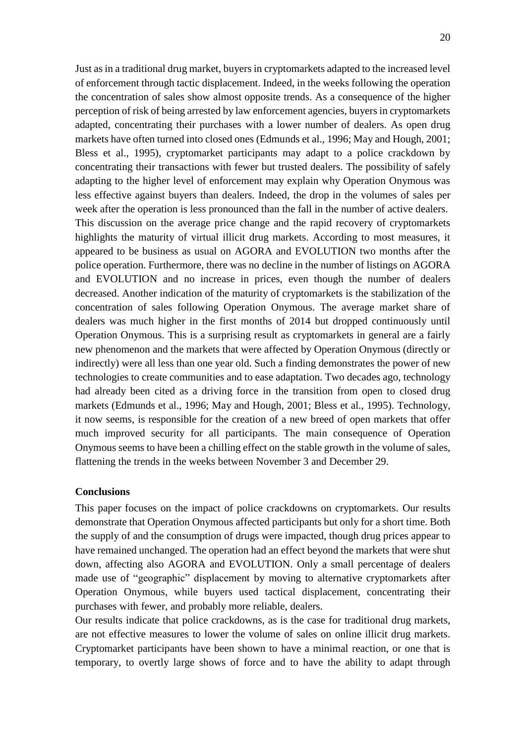Just as in a traditional drug market, buyers in cryptomarkets adapted to the increased level of enforcement through tactic displacement. Indeed, in the weeks following the operation the concentration of sales show almost opposite trends. As a consequence of the higher perception of risk of being arrested by law enforcement agencies, buyers in cryptomarkets adapted, concentrating their purchases with a lower number of dealers. As open drug markets have often turned into closed ones (Edmunds et al., 1996; May and Hough, 2001; Bless et al., 1995), cryptomarket participants may adapt to a police crackdown by concentrating their transactions with fewer but trusted dealers. The possibility of safely adapting to the higher level of enforcement may explain why Operation Onymous was less effective against buyers than dealers. Indeed, the drop in the volumes of sales per week after the operation is less pronounced than the fall in the number of active dealers. This discussion on the average price change and the rapid recovery of cryptomarkets highlights the maturity of virtual illicit drug markets. According to most measures, it appeared to be business as usual on AGORA and EVOLUTION two months after the police operation. Furthermore, there was no decline in the number of listings on AGORA and EVOLUTION and no increase in prices, even though the number of dealers decreased. Another indication of the maturity of cryptomarkets is the stabilization of the concentration of sales following Operation Onymous. The average market share of dealers was much higher in the first months of 2014 but dropped continuously until Operation Onymous. This is a surprising result as cryptomarkets in general are a fairly new phenomenon and the markets that were affected by Operation Onymous (directly or indirectly) were all less than one year old. Such a finding demonstrates the power of new technologies to create communities and to ease adaptation. Two decades ago, technology had already been cited as a driving force in the transition from open to closed drug markets (Edmunds et al., 1996; May and Hough, 2001; Bless et al., 1995). Technology, it now seems, is responsible for the creation of a new breed of open markets that offer much improved security for all participants. The main consequence of Operation Onymous seems to have been a chilling effect on the stable growth in the volume of sales, flattening the trends in the weeks between November 3 and December 29.

#### **Conclusions**

This paper focuses on the impact of police crackdowns on cryptomarkets. Our results demonstrate that Operation Onymous affected participants but only for a short time. Both the supply of and the consumption of drugs were impacted, though drug prices appear to have remained unchanged. The operation had an effect beyond the markets that were shut down, affecting also AGORA and EVOLUTION. Only a small percentage of dealers made use of "geographic" displacement by moving to alternative cryptomarkets after Operation Onymous, while buyers used tactical displacement, concentrating their purchases with fewer, and probably more reliable, dealers.

Our results indicate that police crackdowns, as is the case for traditional drug markets, are not effective measures to lower the volume of sales on online illicit drug markets. Cryptomarket participants have been shown to have a minimal reaction, or one that is temporary, to overtly large shows of force and to have the ability to adapt through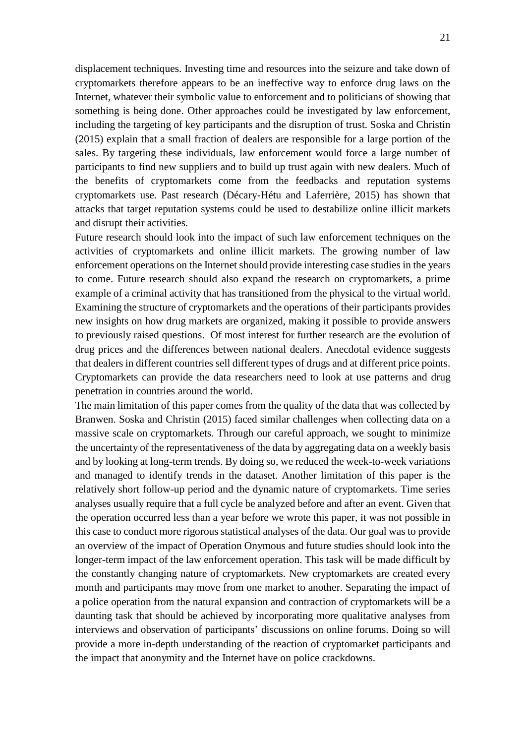displacement techniques. Investing time and resources into the seizure and take down of cryptomarkets therefore appears to be an ineffective way to enforce drug laws on the Internet, whatever their symbolic value to enforcement and to politicians of showing that something is being done. Other approaches could be investigated by law enforcement, including the targeting of key participants and the disruption of trust. Soska and Christin (2015) explain that a small fraction of dealers are responsible for a large portion of the sales. By targeting these individuals, law enforcement would force a large number of participants to find new suppliers and to build up trust again with new dealers. Much of the benefits of cryptomarkets come from the feedbacks and reputation systems cryptomarkets use. Past research (Décary-Hétu and Laferrière, 2015) has shown that attacks that target reputation systems could be used to destabilize online illicit markets and disrupt their activities.

Future research should look into the impact of such law enforcement techniques on the activities of cryptomarkets and online illicit markets. The growing number of law enforcement operations on the Internet should provide interesting case studies in the years to come. Future research should also expand the research on cryptomarkets, a prime example of a criminal activity that has transitioned from the physical to the virtual world. Examining the structure of cryptomarkets and the operations of their participants provides new insights on how drug markets are organized, making it possible to provide answers to previously raised questions. Of most interest for further research are the evolution of drug prices and the differences between national dealers. Anecdotal evidence suggests that dealers in different countries sell different types of drugs and at different price points. Cryptomarkets can provide the data researchers need to look at use patterns and drug penetration in countries around the world.

The main limitation of this paper comes from the quality of the data that was collected by Branwen. Soska and Christin (2015) faced similar challenges when collecting data on a massive scale on cryptomarkets. Through our careful approach, we sought to minimize the uncertainty of the representativeness of the data by aggregating data on a weekly basis and by looking at long-term trends. By doing so, we reduced the week-to-week variations and managed to identify trends in the dataset. Another limitation of this paper is the relatively short follow-up period and the dynamic nature of cryptomarkets. Time series analyses usually require that a full cycle be analyzed before and after an event. Given that the operation occurred less than a year before we wrote this paper, it was not possible in this case to conduct more rigorous statistical analyses of the data. Our goal was to provide an overview of the impact of Operation Onymous and future studies should look into the longer-term impact of the law enforcement operation. This task will be made difficult by the constantly changing nature of cryptomarkets. New cryptomarkets are created every month and participants may move from one market to another. Separating the impact of a police operation from the natural expansion and contraction of cryptomarkets will be a daunting task that should be achieved by incorporating more qualitative analyses from interviews and observation of participants' discussions on online forums. Doing so will provide a more in-depth understanding of the reaction of cryptomarket participants and the impact that anonymity and the Internet have on police crackdowns.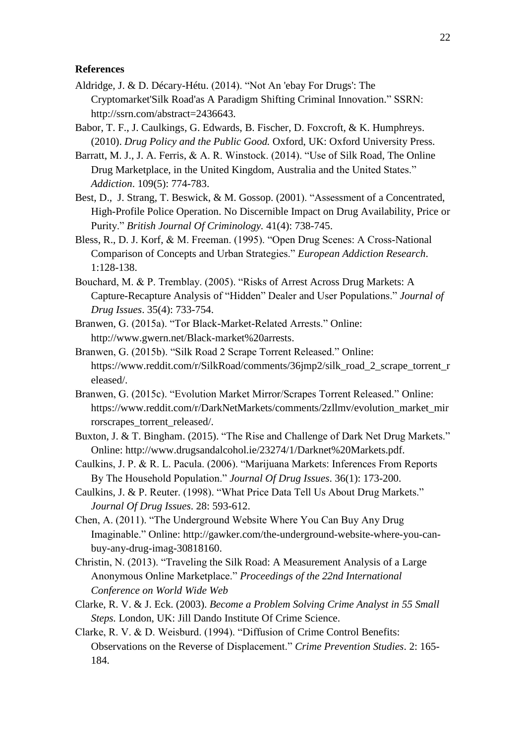#### **References**

- Aldridge, J. & D. Décary-Hétu. (2014). "Not An 'ebay For Drugs': The Cryptomarket'Silk Road'as A Paradigm Shifting Criminal Innovation." SSRN: http://ssrn.com/abstract=2436643.
- Babor, T. F., J. Caulkings, G. Edwards, B. Fischer, D. Foxcroft, & K. Humphreys. (2010). *Drug Policy and the Public Good.* Oxford, UK: Oxford University Press.
- Barratt, M. J., J. A. Ferris, & A. R. Winstock. (2014). "Use of Silk Road, The Online Drug Marketplace, in the United Kingdom, Australia and the United States." *Addiction*. 109(5): 774-783.
- Best, D., J. Strang, T. Beswick, & M. Gossop. (2001). "Assessment of a Concentrated, High-Profile Police Operation. No Discernible Impact on Drug Availability, Price or Purity." *British Journal Of Criminology.* 41(4): 738-745.
- Bless, R., D. J. Korf, & M. Freeman. (1995). "Open Drug Scenes: A Cross-National Comparison of Concepts and Urban Strategies." *European Addiction Research*. 1:128-138.
- Bouchard, M. & P. Tremblay. (2005). "Risks of Arrest Across Drug Markets: A Capture-Recapture Analysis of "Hidden" Dealer and User Populations." *Journal of Drug Issues*. 35(4): 733-754.
- Branwen, G. (2015a). "Tor Black-Market-Related Arrests." Online: http://www.gwern.net/Black-market%20arrests.
- Branwen, G. (2015b). "Silk Road 2 Scrape Torrent Released." Online: https://www.reddit.com/r/SilkRoad/comments/36jmp2/silk\_road\_2\_scrape\_torrent\_r eleased/.
- Branwen, G. (2015c). "Evolution Market Mirror/Scrapes Torrent Released." Online: https://www.reddit.com/r/DarkNetMarkets/comments/2zllmv/evolution\_market\_mir rorscrapes\_torrent\_released/.
- Buxton, J. & T. Bingham. (2015). "The Rise and Challenge of Dark Net Drug Markets." Online: http://www.drugsandalcohol.ie/23274/1/Darknet%20Markets.pdf.
- Caulkins, J. P. & R. L. Pacula. (2006). "Marijuana Markets: Inferences From Reports By The Household Population." *Journal Of Drug Issues*. 36(1): 173-200.
- Caulkins, J. & P. Reuter. (1998). "What Price Data Tell Us About Drug Markets." *Journal Of Drug Issues*. 28: 593-612.
- Chen, A. (2011). "The Underground Website Where You Can Buy Any Drug Imaginable." Online: http://gawker.com/the-underground-website-where-you-canbuy-any-drug-imag-30818160.
- Christin, N. (2013). "Traveling the Silk Road: A Measurement Analysis of a Large Anonymous Online Marketplace." *Proceedings of the 22nd International Conference on World Wide Web*
- Clarke, R. V. & J. Eck. (2003). *Become a Problem Solving Crime Analyst in 55 Small Steps.* London, UK: Jill Dando Institute Of Crime Science.
- Clarke, R. V. & D. Weisburd. (1994). "Diffusion of Crime Control Benefits: Observations on the Reverse of Displacement." *Crime Prevention Studies*. 2: 165- 184.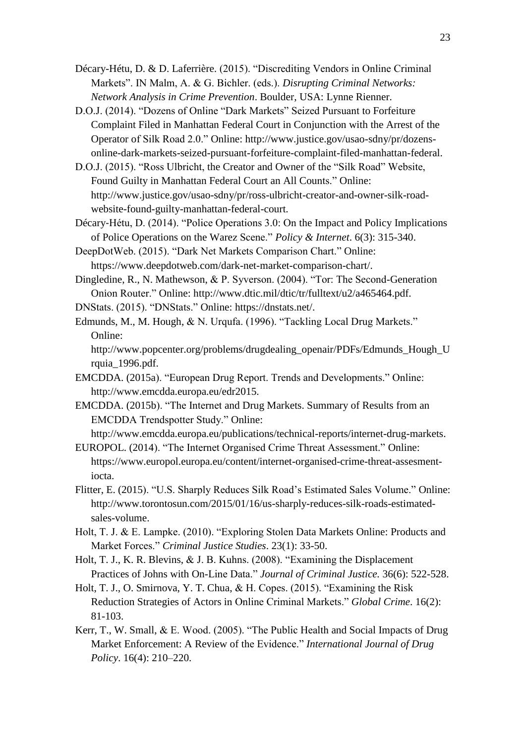- Décary-Hétu, D. & D. Laferrière. (2015). "Discrediting Vendors in Online Criminal Markets". IN Malm, A. & G. Bichler. (eds.). *Disrupting Criminal Networks: Network Analysis in Crime Prevention*. Boulder, USA: Lynne Rienner.
- D.O.J. (2014). "Dozens of Online "Dark Markets" Seized Pursuant to Forfeiture Complaint Filed in Manhattan Federal Court in Conjunction with the Arrest of the Operator of Silk Road 2.0." Online: http://www.justice.gov/usao-sdny/pr/dozensonline-dark-markets-seized-pursuant-forfeiture-complaint-filed-manhattan-federal.
- D.O.J. (2015). "Ross Ulbricht, the Creator and Owner of the "Silk Road" Website, Found Guilty in Manhattan Federal Court an All Counts." Online: http://www.justice.gov/usao-sdny/pr/ross-ulbricht-creator-and-owner-silk-roadwebsite-found-guilty-manhattan-federal-court.
- Décary‐Hétu, D. (2014). "Police Operations 3.0: On the Impact and Policy Implications of Police Operations on the Warez Scene." *Policy & Internet*. 6(3): 315-340.
- DeepDotWeb. (2015). "Dark Net Markets Comparison Chart." Online: https://www.deepdotweb.com/dark-net-market-comparison-chart/.
- Dingledine, R., N. Mathewson, & P. Syverson. (2004). "Tor: The Second-Generation Onion Router." Online: http://www.dtic.mil/dtic/tr/fulltext/u2/a465464.pdf.
- DNStats. (2015). "DNStats." Online: https://dnstats.net/.
- Edmunds, M., M. Hough, & N. Urqufa. (1996). "Tackling Local Drug Markets." Online:

http://www.popcenter.org/problems/drugdealing\_openair/PDFs/Edmunds\_Hough\_U rquia\_1996.pdf.

- EMCDDA. (2015a). "European Drug Report. Trends and Developments." Online: http://www.emcdda.europa.eu/edr2015.
- EMCDDA. (2015b). "The Internet and Drug Markets. Summary of Results from an EMCDDA Trendspotter Study." Online:

http://www.emcdda.europa.eu/publications/technical-reports/internet-drug-markets. EUROPOL. (2014). "The Internet Organised Crime Threat Assessment." Online:

- https://www.europol.europa.eu/content/internet-organised-crime-threat-assesmentiocta.
- Flitter, E. (2015). "U.S. Sharply Reduces Silk Road's Estimated Sales Volume." Online: http://www.torontosun.com/2015/01/16/us-sharply-reduces-silk-roads-estimatedsales-volume.
- Holt, T. J. & E. Lampke. (2010). "Exploring Stolen Data Markets Online: Products and Market Forces." *Criminal Justice Studies*. 23(1): 33-50.
- Holt, T. J., K. R. Blevins, & J. B. Kuhns. (2008). "Examining the Displacement Practices of Johns with On-Line Data." *Journal of Criminal Justice.* 36(6): 522-528.
- Holt, T. J., O. Smirnova, Y. T. Chua, & H. Copes. (2015). "Examining the Risk Reduction Strategies of Actors in Online Criminal Markets." *Global Crime*. 16(2): 81-103.
- Kerr, T., W. Small, & E. Wood. (2005). "The Public Health and Social Impacts of Drug Market Enforcement: A Review of the Evidence." *International Journal of Drug Policy*. 16(4): 210–220.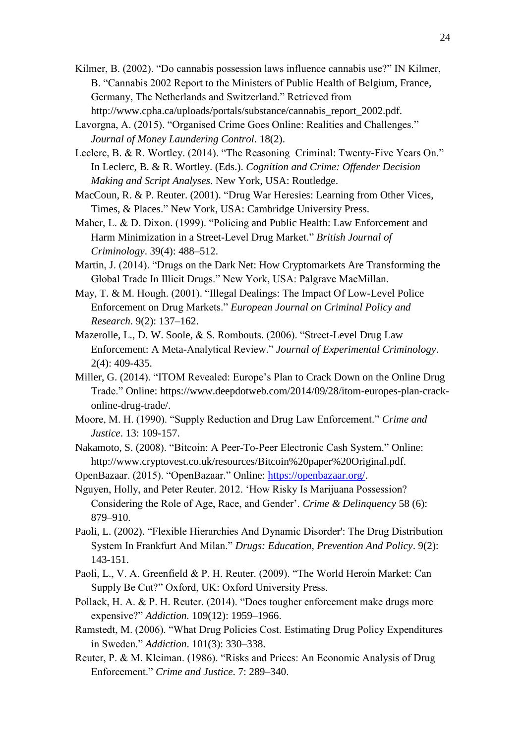- Kilmer, B. (2002). "Do cannabis possession laws influence cannabis use?" IN Kilmer, B. "Cannabis 2002 Report to the Ministers of Public Health of Belgium, France, Germany, The Netherlands and Switzerland." Retrieved from http://www.cpha.ca/uploads/portals/substance/cannabis\_report\_2002.pdf.
- Lavorgna, A. (2015). "Organised Crime Goes Online: Realities and Challenges." *Journal of Money Laundering Control*. 18(2).
- Leclerc, B. & R. Wortley. (2014). "The Reasoning Criminal: Twenty-Five Years On." In Leclerc, B. & R. Wortley. (Eds.). *Cognition and Crime: Offender Decision Making and Script Analyses*. New York, USA: Routledge.
- MacCoun, R. & P. Reuter. (2001). "Drug War Heresies: Learning from Other Vices, Times, & Places." New York, USA: Cambridge University Press.
- Maher, L. & D. Dixon. (1999). "Policing and Public Health: Law Enforcement and Harm Minimization in a Street-Level Drug Market." *British Journal of Criminology*. 39(4): 488–512.
- Martin, J. (2014). "Drugs on the Dark Net: How Cryptomarkets Are Transforming the Global Trade In Illicit Drugs." New York, USA: Palgrave MacMillan.
- May, T. & M. Hough. (2001). "Illegal Dealings: The Impact Of Low-Level Police Enforcement on Drug Markets." *European Journal on Criminal Policy and Research*. 9(2): 137–162.
- Mazerolle, L., D. W. Soole, & S. Rombouts. (2006). "Street-Level Drug Law Enforcement: A Meta-Analytical Review." *Journal of Experimental Criminology*. 2(4): 409-435.
- Miller, G. (2014). "ITOM Revealed: Europe's Plan to Crack Down on the Online Drug Trade." Online: https://www.deepdotweb.com/2014/09/28/itom-europes-plan-crackonline-drug-trade/.
- Moore, M. H. (1990). "Supply Reduction and Drug Law Enforcement." *Crime and Justice*. 13: 109-157.
- Nakamoto, S. (2008). "Bitcoin: A Peer-To-Peer Electronic Cash System." Online: http://www.cryptovest.co.uk/resources/Bitcoin%20paper%20Original.pdf.
- OpenBazaar. (2015). "OpenBazaar." Online: [https://openbazaar.org/.](https://openbazaar.org/)
- Nguyen, Holly, and Peter Reuter. 2012. 'How Risky Is Marijuana Possession? Considering the Role of Age, Race, and Gender'. *Crime & Delinquency* 58 (6): 879–910.
- Paoli, L. (2002). "Flexible Hierarchies And Dynamic Disorder': The Drug Distribution System In Frankfurt And Milan." *Drugs: Education, Prevention And Policy*. 9(2): 143-151.
- Paoli, L., V. A. Greenfield & P. H. Reuter. (2009). "The World Heroin Market: Can Supply Be Cut?" Oxford, UK: Oxford University Press.
- Pollack, H. A. & P. H. Reuter. (2014). "Does tougher enforcement make drugs more expensive?" *Addiction.* 109(12): 1959–1966.
- Ramstedt, M. (2006). "What Drug Policies Cost. Estimating Drug Policy Expenditures in Sweden." *Addiction*. 101(3): 330–338.
- Reuter, P. & M. Kleiman. (1986). "Risks and Prices: An Economic Analysis of Drug Enforcement." *Crime and Justice*. 7: 289–340.